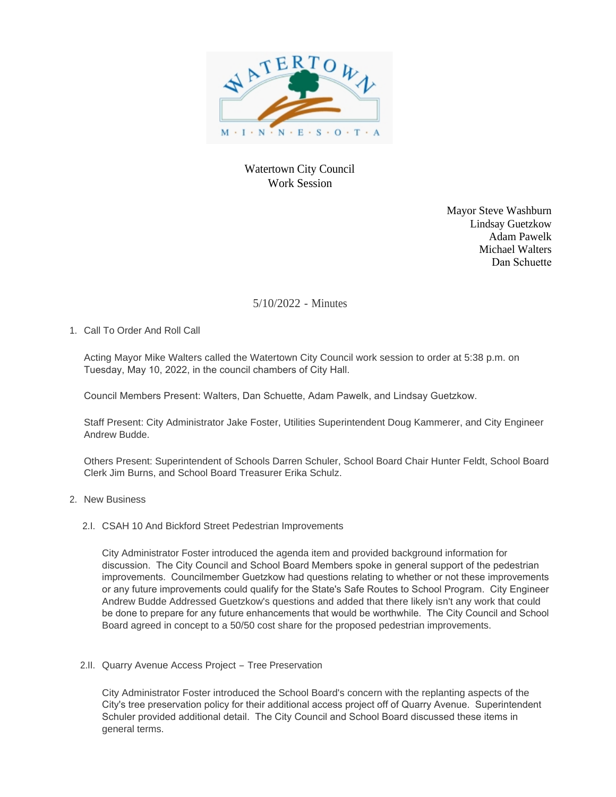

# Watertown City Council Work Session

Mayor Steve Washburn Lindsay Guetzkow Adam Pawelk Michael Walters Dan Schuette

## 5/10/2022 - Minutes

1. Call To Order And Roll Call

Acting Mayor Mike Walters called the Watertown City Council work session to order at 5:38 p.m. on Tuesday, May 10, 2022, in the council chambers of City Hall.

Council Members Present: Walters, Dan Schuette, Adam Pawelk, and Lindsay Guetzkow.

Staff Present: City Administrator Jake Foster, Utilities Superintendent Doug Kammerer, and City Engineer Andrew Budde.

Others Present: Superintendent of Schools Darren Schuler, School Board Chair Hunter Feldt, School Board Clerk Jim Burns, and School Board Treasurer Erika Schulz.

### 2. New Business

2.I. CSAH 10 And Bickford Street Pedestrian Improvements

City Administrator Foster introduced the agenda item and provided background information for discussion. The City Council and School Board Members spoke in general support of the pedestrian improvements. Councilmember Guetzkow had questions relating to whether or not these improvements or any future improvements could qualify for the State's Safe Routes to School Program. City Engineer Andrew Budde Addressed Guetzkow's questions and added that there likely isn't any work that could be done to prepare for any future enhancements that would be worthwhile. The City Council and School Board agreed in concept to a 50/50 cost share for the proposed pedestrian improvements.

#### 2.II. Quarry Avenue Access Project - Tree Preservation

City Administrator Foster introduced the School Board's concern with the replanting aspects of the City's tree preservation policy for their additional access project off of Quarry Avenue. Superintendent Schuler provided additional detail. The City Council and School Board discussed these items in general terms.